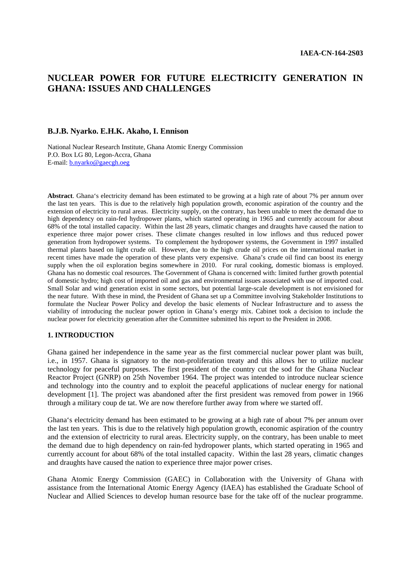# **NUCLEAR POWER FOR FUTURE ELECTRICITY GENERATION IN GHANA: ISSUES AND CHALLENGES**

### **B.J.B. Nyarko. E.H.K. Akaho, I. Ennison**

National Nuclear Research Institute, Ghana Atomic Energy Commission P.O. Box LG 80, Legon-Accra, Ghana E-mail: b.nyarko@gaecgh.oeg

**Abstract**. Ghana's electricity demand has been estimated to be growing at a high rate of about 7% per annum over the last ten years. This is due to the relatively high population growth, economic aspiration of the country and the extension of electricity to rural areas. Electricity supply, on the contrary, has been unable to meet the demand due to high dependency on rain-fed hydropower plants, which started operating in 1965 and currently account for about 68% of the total installed capacity. Within the last 28 years, climatic changes and draughts have caused the nation to experience three major power crises. These climate changes resulted in low inflows and thus reduced power generation from hydropower systems. To complement the hydropower systems, the Government in 1997 installed thermal plants based on light crude oil. However, due to the high crude oil prices on the international market in recent times have made the operation of these plants very expensive. Ghana's crude oil find can boost its energy supply when the oil exploration begins somewhere in 2010. For rural cooking, domestic biomass is employed. Ghana has no domestic coal resources. The Government of Ghana is concerned with: limited further growth potential of domestic hydro; high cost of imported oil and gas and environmental issues associated with use of imported coal. Small Solar and wind generation exist in some sectors, but potential large-scale development is not envisioned for the near future. With these in mind, the President of Ghana set up a Committee involving Stakeholder Institutions to formulate the Nuclear Power Policy and develop the basic elements of Nuclear Infrastructure and to assess the viability of introducing the nuclear power option in Ghana's energy mix. Cabinet took a decision to include the nuclear power for electricity generation after the Committee submitted his report to the President in 2008.

#### **1. INTRODUCTION**

Ghana gained her independence in the same year as the first commercial nuclear power plant was built, i.e., in 1957. Ghana is signatory to the non-proliferation treaty and this allows her to utilize nuclear technology for peaceful purposes. The first president of the country cut the sod for the Ghana Nuclear Reactor Project (GNRP) on 25th November 1964. The project was intended to introduce nuclear science and technology into the country and to exploit the peaceful applications of nuclear energy for national development [1]. The project was abandoned after the first president was removed from power in 1966 through a military coup de tat. We are now therefore further away from where we started off.

Ghana's electricity demand has been estimated to be growing at a high rate of about 7% per annum over the last ten years. This is due to the relatively high population growth, economic aspiration of the country and the extension of electricity to rural areas. Electricity supply, on the contrary, has been unable to meet the demand due to high dependency on rain-fed hydropower plants, which started operating in 1965 and currently account for about 68% of the total installed capacity. Within the last 28 years, climatic changes and draughts have caused the nation to experience three major power crises.

Ghana Atomic Energy Commission (GAEC) in Collaboration with the University of Ghana with assistance from the International Atomic Energy Agency (IAEA) has established the Graduate School of Nuclear and Allied Sciences to develop human resource base for the take off of the nuclear programme.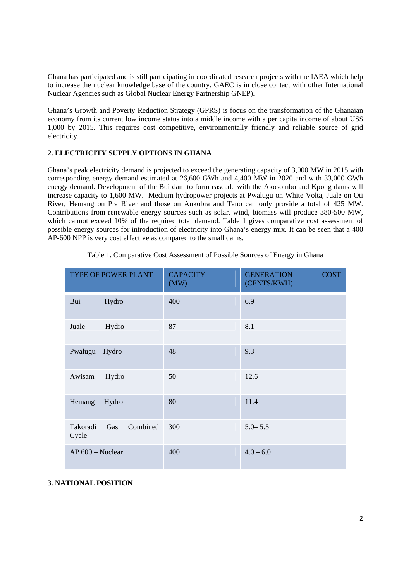Ghana has participated and is still participating in coordinated research projects with the IAEA which help to increase the nuclear knowledge base of the country. GAEC is in close contact with other International Nuclear Agencies such as Global Nuclear Energy Partnership GNEP).

Ghana's Growth and Poverty Reduction Strategy (GPRS) is focus on the transformation of the Ghanaian economy from its current low income status into a middle income with a per capita income of about US\$ 1,000 by 2015. This requires cost competitive, environmentally friendly and reliable source of grid electricity.

# **2. ELECTRICITY SUPPLY OPTIONS IN GHANA**

Ghana's peak electricity demand is projected to exceed the generating capacity of 3,000 MW in 2015 with corresponding energy demand estimated at 26,600 GWh and 4,400 MW in 2020 and with 33,000 GWh energy demand. Development of the Bui dam to form cascade with the Akosombo and Kpong dams will increase capacity to 1,600 MW. Medium hydropower projects at Pwalugu on White Volta, Juale on Oti River, Hemang on Pra River and those on Ankobra and Tano can only provide a total of 425 MW. Contributions from renewable energy sources such as solar, wind, biomass will produce 380-500 MW, which cannot exceed 10% of the required total demand. Table 1 gives comparative cost assessment of possible energy sources for introduction of electricity into Ghana's energy mix. It can be seen that a 400 AP-600 NPP is very cost effective as compared to the small dams.

| TYPE OF POWER PLANT |                 | <b>CAPACITY</b><br>(MW) | <b>GENERATION</b><br><b>COST</b><br>(CENTS/KWH) |
|---------------------|-----------------|-------------------------|-------------------------------------------------|
| Bui                 | Hydro           | 400                     | 6.9                                             |
| Juale               | Hydro           | 87                      | 8.1                                             |
| Pwalugu Hydro       |                 | 48                      | 9.3                                             |
| Awisam              | Hydro           | 50                      | 12.6                                            |
| Hemang              | Hydro           | 80                      | 11.4                                            |
| Takoradi<br>Cycle   | Combined<br>Gas | 300                     | $5.0 - 5.5$                                     |
| AP 600 - Nuclear    |                 | 400                     | $4.0 - 6.0$                                     |

Table 1. Comparative Cost Assessment of Possible Sources of Energy in Ghana

# **3. NATIONAL POSITION**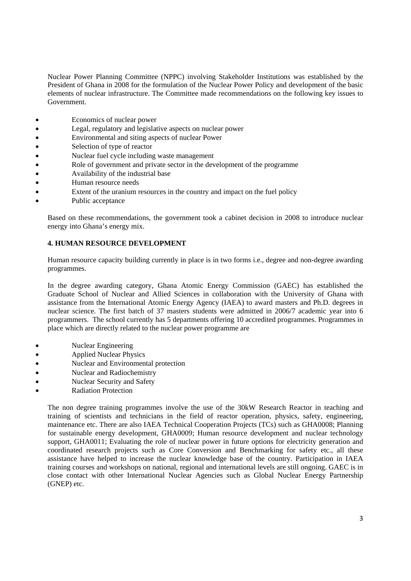Nuclear Power Planning Committee (NPPC) involving Stakeholder Institutions was established by the President of Ghana in 2008 for the formulation of the Nuclear Power Policy and development of the basic elements of nuclear infrastructure. The Committee made recommendations on the following key issues to Government.

- Economics of nuclear power
- Legal, regulatory and legislative aspects on nuclear power
- Environmental and siting aspects of nuclear Power
- Selection of type of reactor
- Nuclear fuel cycle including waste management
- Role of government and private sector in the development of the programme
- **Availability of the industrial base**
- Human resource needs
- Extent of the uranium resources in the country and impact on the fuel policy
- Public acceptance

Based on these recommendations, the government took a cabinet decision in 2008 to introduce nuclear energy into Ghana's energy mix.

# **4. HUMAN RESOURCE DEVELOPMENT**

Human resource capacity building currently in place is in two forms i.e., degree and non-degree awarding programmes.

In the degree awarding category, Ghana Atomic Energy Commission (GAEC) has established the Graduate School of Nuclear and Allied Sciences in collaboration with the University of Ghana with assistance from the International Atomic Energy Agency (IAEA) to award masters and Ph.D. degrees in nuclear science. The first batch of 37 masters students were admitted in 2006/7 academic year into 6 programmers. The school currently has 5 departments offering 10 accredited programmes. Programmes in place which are directly related to the nuclear power programme are

- Nuclear Engineering
- Applied Nuclear Physics
- Nuclear and Environmental protection
- Nuclear and Radiochemistry
- Nuclear Security and Safety
- Radiation Protection

The non degree training programmes involve the use of the 30kW Research Reactor in teaching and training of scientists and technicians in the field of reactor operation, physics, safety, engineering, maintenance etc. There are also IAEA Technical Cooperation Projects (TCs) such as GHA0008; Planning for sustainable energy development, GHA0009; Human resource development and nuclear technology support, GHA0011; Evaluating the role of nuclear power in future options for electricity generation and coordinated research projects such as Core Conversion and Benchmarking for safety etc., all these assistance have helped to increase the nuclear knowledge base of the country. Participation in IAEA training courses and workshops on national, regional and international levels are still ongoing. GAEC is in close contact with other International Nuclear Agencies such as Global Nuclear Energy Partnership (GNEP) etc.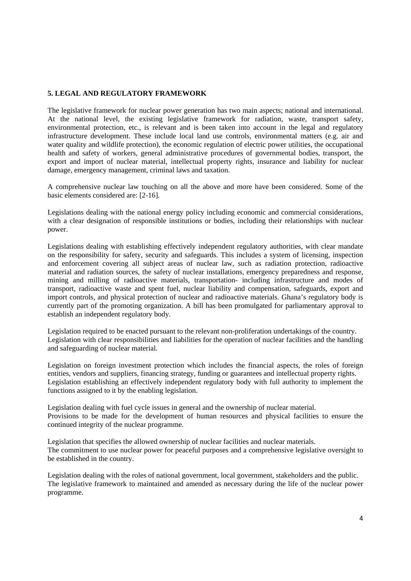# **5. LEGAL AND REGULATORY FRAMEWORK**

The legislative framework for nuclear power generation has two main aspects; national and international. At the national level, the existing legislative framework for radiation, waste, transport safety, environmental protection, etc., is relevant and is been taken into account in the legal and regulatory infrastructure development. These include local land use controls, environmental matters (e.g. air and water quality and wildlife protection), the economic regulation of electric power utilities, the occupational health and safety of workers, general administrative procedures of governmental bodies, transport, the export and import of nuclear material, intellectual property rights, insurance and liability for nuclear damage, emergency management, criminal laws and taxation.

A comprehensive nuclear law touching on all the above and more have been considered. Some of the basic elements considered are: [2-16].

Legislations dealing with the national energy policy including economic and commercial considerations, with a clear designation of responsible institutions or bodies, including their relationships with nuclear power.

Legislations dealing with establishing effectively independent regulatory authorities, with clear mandate on the responsibility for safety, security and safeguards. This includes a system of licensing, inspection and enforcement covering all subject areas of nuclear law, such as radiation protection, radioactive material and radiation sources, the safety of nuclear installations, emergency preparedness and response, mining and milling of radioactive materials, transportation- including infrastructure and modes of transport, radioactive waste and spent fuel, nuclear liability and compensation, safeguards, export and import controls, and physical protection of nuclear and radioactive materials. Ghana's regulatory body is currently part of the promoting organization. A bill has been promulgated for parliamentary approval to establish an independent regulatory body.

Legislation required to be enacted pursuant to the relevant non-proliferation undertakings of the country. Legislation with clear responsibilities and liabilities for the operation of nuclear facilities and the handling and safeguarding of nuclear material.

Legislation on foreign investment protection which includes the financial aspects, the roles of foreign entities, vendors and suppliers, financing strategy, funding or guarantees and intellectual property rights. Legislation establishing an effectively independent regulatory body with full authority to implement the functions assigned to it by the enabling legislation.

Legislation dealing with fuel cycle issues in general and the ownership of nuclear material. Provisions to be made for the development of human resources and physical facilities to ensure the continued integrity of the nuclear programme.

Legislation that specifies the allowed ownership of nuclear facilities and nuclear materials. The commitment to use nuclear power for peaceful purposes and a comprehensive legislative oversight to be established in the country.

Legislation dealing with the roles of national government, local government, stakeholders and the public. The legislative framework to maintained and amended as necessary during the life of the nuclear power programme.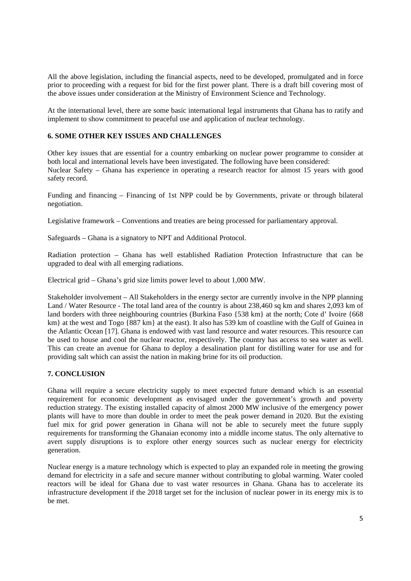All the above legislation, including the financial aspects, need to be developed, promulgated and in force prior to proceeding with a request for bid for the first power plant. There is a draft bill covering most of the above issues under consideration at the Ministry of Environment Science and Technology.

At the international level, there are some basic international legal instruments that Ghana has to ratify and implement to show commitment to peaceful use and application of nuclear technology.

## **6. SOME OTHER KEY ISSUES AND CHALLENGES**

Other key issues that are essential for a country embarking on nuclear power programme to consider at both local and international levels have been investigated. The following have been considered: Nuclear Safety – Ghana has experience in operating a research reactor for almost 15 years with good safety record.

Funding and financing – Financing of 1st NPP could be by Governments, private or through bilateral negotiation.

Legislative framework – Conventions and treaties are being processed for parliamentary approval.

Safeguards – Ghana is a signatory to NPT and Additional Protocol.

Radiation protection – Ghana has well established Radiation Protection Infrastructure that can be upgraded to deal with all emerging radiations.

Electrical grid – Ghana's grid size limits power level to about 1,000 MW.

Stakeholder involvement – All Stakeholders in the energy sector are currently involve in the NPP planning Land / Water Resource - The total land area of the country is about 238,460 sq km and shares 2,093 km of land borders with three neighbouring countries (Burkina Faso {538 km} at the north; Cote d' Ivoire {668 km} at the west and Togo {887 km} at the east). It also has 539 km of coastline with the Gulf of Guinea in the Atlantic Ocean [17]. Ghana is endowed with vast land resource and water resources. This resource can be used to house and cool the nuclear reactor, respectively. The country has access to sea water as well. This can create an avenue for Ghana to deploy a desalination plant for distilling water for use and for providing salt which can assist the nation in making brine for its oil production.

# **7. CONCLUSION**

Ghana will require a secure electricity supply to meet expected future demand which is an essential requirement for economic development as envisaged under the government's growth and poverty reduction strategy. The existing installed capacity of almost 2000 MW inclusive of the emergency power plants will have to more than double in order to meet the peak power demand in 2020. But the existing fuel mix for grid power generation in Ghana will not be able to securely meet the future supply requirements for transforming the Ghanaian economy into a middle income status. The only alternative to avert supply disruptions is to explore other energy sources such as nuclear energy for electricity generation.

Nuclear energy is a mature technology which is expected to play an expanded role in meeting the growing demand for electricity in a safe and secure manner without contributing to global warming. Water cooled reactors will be ideal for Ghana due to vast water resources in Ghana. Ghana has to accelerate its infrastructure development if the 2018 target set for the inclusion of nuclear power in its energy mix is to be met.